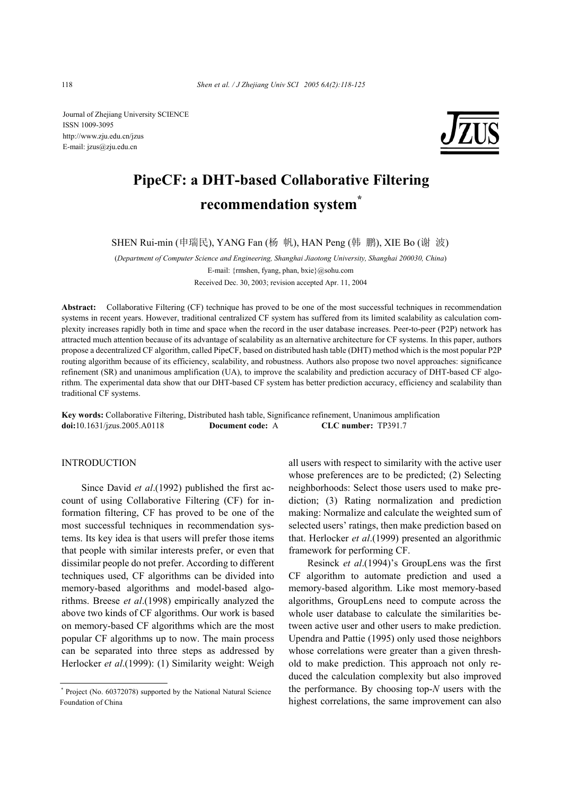Journal of Zhejiang University SCIENCE ISSN 1009-3095 http://www.zju.edu.cn/jzus E-mail: jzus@zju.edu.cn



# **PipeCF: a DHT-based Collaborative Filtering recommendation system\***

SHEN Rui-min (申瑞民), YANG Fan (杨 帆), HAN Peng (韩 鹏), XIE Bo (谢 波)

(*Department of Computer Science and Engineering, Shanghai Jiaotong University, Shanghai 200030, China*) E-mail: {rmshen, fyang, phan, bxie}@sohu.com

Received Dec. 30, 2003; revision accepted Apr. 11, 2004

**Abstract:** Collaborative Filtering (CF) technique has proved to be one of the most successful techniques in recommendation systems in recent years. However, traditional centralized CF system has suffered from its limited scalability as calculation complexity increases rapidly both in time and space when the record in the user database increases. Peer-to-peer (P2P) network has attracted much attention because of its advantage of scalability as an alternative architecture for CF systems. In this paper, authors propose a decentralized CF algorithm, called PipeCF, based on distributed hash table (DHT) method which is the most popular P2P routing algorithm because of its efficiency, scalability, and robustness. Authors also propose two novel approaches: significance refinement (SR) and unanimous amplification (UA), to improve the scalability and prediction accuracy of DHT-based CF algorithm. The experimental data show that our DHT-based CF system has better prediction accuracy, efficiency and scalability than traditional CF systems.

**Key words:** Collaborative Filtering, Distributed hash table, Significance refinement, Unanimous amplification **doi:**10.1631/jzus.2005.A0118 **Document code:** A **CLC number:** TP391.7

# **INTRODUCTION**

Since David *et al*.(1992) published the first account of using Collaborative Filtering (CF) for information filtering, CF has proved to be one of the most successful techniques in recommendation systems. Its key idea is that users will prefer those items that people with similar interests prefer, or even that dissimilar people do not prefer. According to different techniques used, CF algorithms can be divided into memory-based algorithms and model-based algorithms. Breese *et al*.(1998) empirically analyzed the above two kinds of CF algorithms. Our work is based on memory-based CF algorithms which are the most popular CF algorithms up to now. The main process can be separated into three steps as addressed by Herlocker *et al*.(1999): (1) Similarity weight: Weigh

all users with respect to similarity with the active user whose preferences are to be predicted; (2) Selecting neighborhoods: Select those users used to make prediction; (3) Rating normalization and prediction making: Normalize and calculate the weighted sum of selected users' ratings, then make prediction based on that. Herlocker *et al*.(1999) presented an algorithmic framework for performing CF.

Resinck *et al*.(1994)'s GroupLens was the first CF algorithm to automate prediction and used a memory-based algorithm. Like most memory-based algorithms, GroupLens need to compute across the whole user database to calculate the similarities between active user and other users to make prediction. Upendra and Pattie (1995) only used those neighbors whose correlations were greater than a given threshold to make prediction. This approach not only reduced the calculation complexity but also improved the performance. By choosing top-*N* users with the highest correlations, the same improvement can also

<sup>\*</sup> Project (No. 60372078) supported by the National Natural Science Foundation of China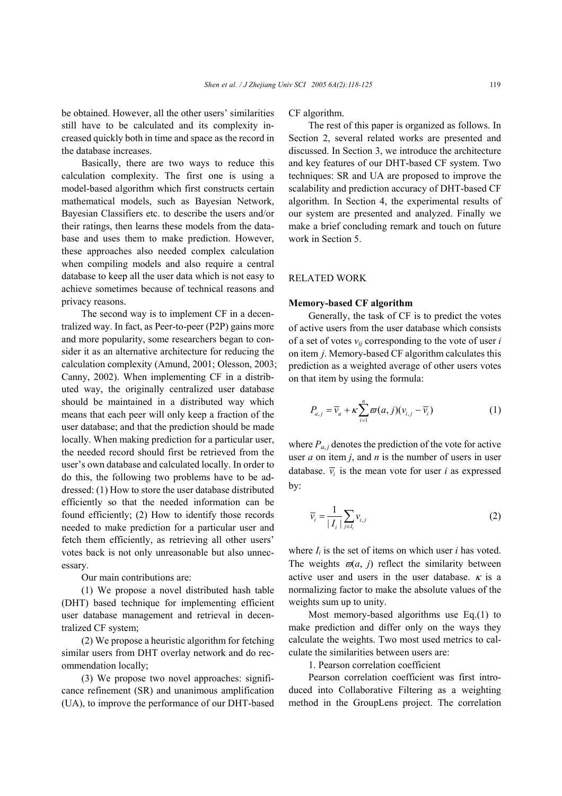Basically, there are two ways to reduce this calculation complexity. The first one is using a model-based algorithm which first constructs certain mathematical models, such as Bayesian Network, Bayesian Classifiers etc. to describe the users and/or their ratings, then learns these models from the database and uses them to make prediction. However, these approaches also needed complex calculation when compiling models and also require a central database to keep all the user data which is not easy to achieve sometimes because of technical reasons and privacy reasons.

The second way is to implement CF in a decentralized way. In fact, as Peer-to-peer (P2P) gains more and more popularity, some researchers began to consider it as an alternative architecture for reducing the calculation complexity (Amund, 2001; Olesson, 2003; Canny, 2002). When implementing CF in a distributed way, the originally centralized user database should be maintained in a distributed way which means that each peer will only keep a fraction of the user database; and that the prediction should be made locally. When making prediction for a particular user, the needed record should first be retrieved from the user's own database and calculated locally. In order to do this, the following two problems have to be addressed: (1) How to store the user database distributed efficiently so that the needed information can be found efficiently; (2) How to identify those records needed to make prediction for a particular user and fetch them efficiently, as retrieving all other users' votes back is not only unreasonable but also unnecessary.

Our main contributions are:

(1) We propose a novel distributed hash table (DHT) based technique for implementing efficient user database management and retrieval in decentralized CF system;

(2) We propose a heuristic algorithm for fetching similar users from DHT overlay network and do recommendation locally;

(3) We propose two novel approaches: significance refinement (SR) and unanimous amplification (UA), to improve the performance of our DHT-based CF algorithm.

The rest of this paper is organized as follows. In Section 2, several related works are presented and discussed. In Section 3, we introduce the architecture and key features of our DHT-based CF system. Two techniques: SR and UA are proposed to improve the scalability and prediction accuracy of DHT-based CF algorithm. In Section 4, the experimental results of our system are presented and analyzed. Finally we make a brief concluding remark and touch on future work in Section 5.

## RELATED WORK

## **Memory-based CF algorithm**

Generally, the task of CF is to predict the votes of active users from the user database which consists of a set of votes *vij* corresponding to the vote of user *i* on item *j*. Memory-based CF algorithm calculates this prediction as a weighted average of other users votes on that item by using the formula:

$$
P_{a,j} = \overline{v}_a + \kappa \sum_{i=1}^n \varpi(a,j)(v_{i,j} - \overline{v}_i)
$$
 (1)

where  $P_{a,i}$  denotes the prediction of the vote for active user  $a$  on item  $j$ , and  $n$  is the number of users in user database.  $\overline{v_i}$  is the mean vote for user *i* as expressed by:

$$
\overline{\nu}_i = \frac{1}{|I_i|} \sum_{j \in I_i} \nu_{i,j} \tag{2}
$$

where  $I_i$  is the set of items on which user  $i$  has voted. The weights  $\varpi(a, j)$  reflect the similarity between active user and users in the user database.  $\kappa$  is a normalizing factor to make the absolute values of the weights sum up to unity.

Most memory-based algorithms use Eq.(1) to make prediction and differ only on the ways they calculate the weights. Two most used metrics to calculate the similarities between users are:

1. Pearson correlation coefficient

Pearson correlation coefficient was first introduced into Collaborative Filtering as a weighting method in the GroupLens project. The correlation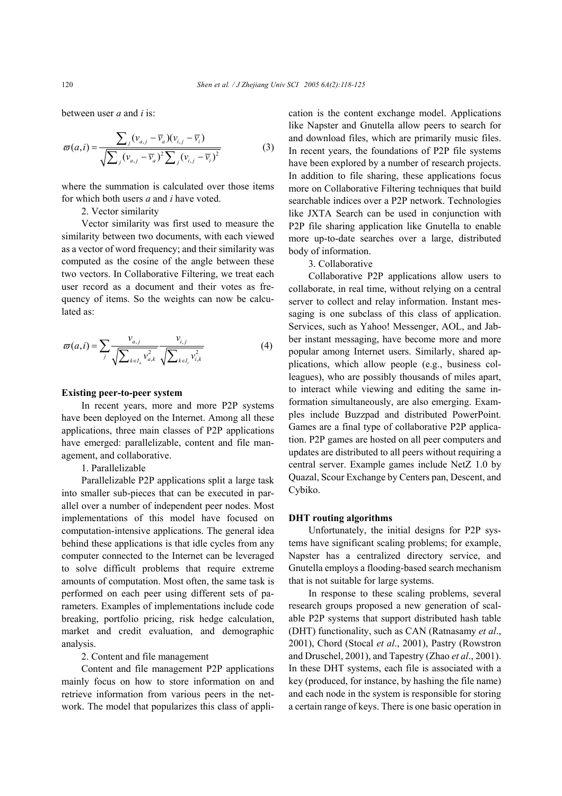between user *a* and *i* is:

$$
\varpi(a,i) = \frac{\sum_{j} (v_{a,j} - \overline{v}_a)(v_{i,j} - \overline{v}_i)}{\sqrt{\sum_{j} (v_{a,j} - \overline{v}_a)^2 \sum_{j} (v_{i,j} - \overline{v}_i)^2}}
$$
(3)

where the summation is calculated over those items for which both users *a* and *i* have voted.

2. Vector similarity

Vector similarity was first used to measure the similarity between two documents, with each viewed as a vector of word frequency; and their similarity was computed as the cosine of the angle between these two vectors. In Collaborative Filtering, we treat each user record as a document and their votes as frequency of items. So the weights can now be calculated as:

$$
\varpi(a,i) = \sum_{j} \frac{v_{a,j}}{\sqrt{\sum_{k \in I_a} v_{a,k}^2}} \frac{v_{i,j}}{\sqrt{\sum_{k \in I_i} v_{i,k}^2}}
$$
(4)

## **Existing peer-to-peer system**

In recent years, more and more P2P systems have been deployed on the Internet. Among all these applications, three main classes of P2P applications have emerged: parallelizable, content and file management, and collaborative.

1. Parallelizable

Parallelizable P2P applications split a large task into smaller sub-pieces that can be executed in parallel over a number of independent peer nodes. Most implementations of this model have focused on computation-intensive applications. The general idea behind these applications is that idle cycles from any computer connected to the Internet can be leveraged to solve difficult problems that require extreme amounts of computation. Most often, the same task is performed on each peer using different sets of parameters. Examples of implementations include code breaking, portfolio pricing, risk hedge calculation, market and credit evaluation, and demographic analysis.

2. Content and file management

Content and file management P2P applications mainly focus on how to store information on and retrieve information from various peers in the network. The model that popularizes this class of application is the content exchange model. Applications like Napster and Gnutella allow peers to search for and download files, which are primarily music files. In recent years, the foundations of P2P file systems have been explored by a number of research projects. In addition to file sharing, these applications focus more on Collaborative Filtering techniques that build searchable indices over a P2P network. Technologies like JXTA Search can be used in conjunction with P2P file sharing application like Gnutella to enable more up-to-date searches over a large, distributed body of information.

# 3. Collaborative

Collaborative P2P applications allow users to collaborate, in real time, without relying on a central server to collect and relay information. Instant messaging is one subclass of this class of application. Services, such as Yahoo! Messenger, AOL, and Jabber instant messaging, have become more and more popular among Internet users. Similarly, shared applications, which allow people (e.g., business colleagues), who are possibly thousands of miles apart, to interact while viewing and editing the same information simultaneously, are also emerging. Examples include Buzzpad and distributed PowerPoint. Games are a final type of collaborative P2P application. P2P games are hosted on all peer computers and updates are distributed to all peers without requiring a central server. Example games include NetZ 1.0 by Quazal, Scour Exchange by Centers pan, Descent, and Cybiko.

#### **DHT routing algorithms**

Unfortunately, the initial designs for P2P systems have significant scaling problems; for example, Napster has a centralized directory service, and Gnutella employs a flooding-based search mechanism that is not suitable for large systems.

In response to these scaling problems, several research groups proposed a new generation of scalable P2P systems that support distributed hash table (DHT) functionality, such as CAN (Ratnasamy *et al*., 2001), Chord (Stocal *et al*., 2001), Pastry (Rowstron and Druschel, 2001), and Tapestry (Zhao *et al*., 2001). In these DHT systems, each file is associated with a key (produced, for instance, by hashing the file name) and each node in the system is responsible for storing a certain range of keys. There is one basic operation in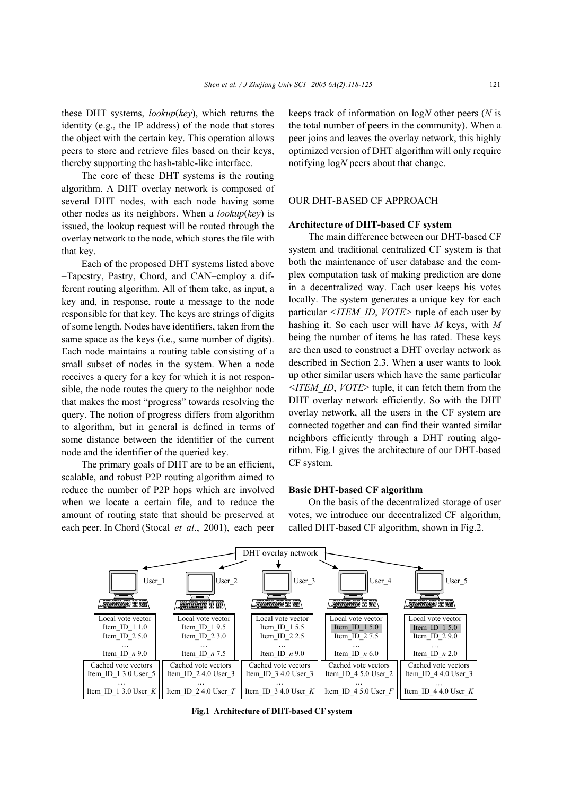these DHT systems, *lookup*(*key*), which returns the identity (e.g., the IP address) of the node that stores the object with the certain key. This operation allows peers to store and retrieve files based on their keys, thereby supporting the hash-table-like interface.

The core of these DHT systems is the routing algorithm. A DHT overlay network is composed of several DHT nodes, with each node having some other nodes as its neighbors. When a *lookup*(*key*) is issued, the lookup request will be routed through the overlay network to the node, which stores the file with that key.

Each of the proposed DHT systems listed above –Tapestry, Pastry, Chord, and CAN–employ a different routing algorithm. All of them take, as input, a key and, in response, route a message to the node responsible for that key. The keys are strings of digits of some length. Nodes have identifiers, taken from the same space as the keys (*i.e.*, same number of digits). Each node maintains a routing table consisting of a small subset of nodes in the system. When a node receives a query for a key for which it is not responsible, the node routes the query to the neighbor node that makes the most "progress" towards resolving the query. The notion of progress differs from algorithm to algorithm, but in general is defined in terms of some distance between the identifier of the current node and the identifier of the queried key.

The primary goals of DHT are to be an efficient, scalable, and robust P2P routing algorithm aimed to reduce the number of P2P hops which are involved when we locate a certain file, and to reduce the amount of routing state that should be preserved at each peer. In Chord (Stocal *et al*., 2001), each peer keeps track of information on log*N* other peers (*N* is the total number of peers in the community). When a peer joins and leaves the overlay network, this highly optimized version of DHT algorithm will only require notifying log*N* peers about that change.

# OUR DHT-BASED CF APPROACH

# **Architecture of DHT-based CF system**

The main difference between our DHT-based CF system and traditional centralized CF system is that both the maintenance of user database and the complex computation task of making prediction are done in a decentralized way. Each user keeps his votes locally. The system generates a unique key for each particular *<ITEM\_ID*, *VOTE>* tuple of each user by hashing it. So each user will have *M* keys, with *M* being the number of items he has rated. These keys are then used to construct a DHT overlay network as described in Section 2.3. When a user wants to look up other similar users which have the same particular *<ITEM\_ID*, *VOTE*> tuple, it can fetch them from the DHT overlay network efficiently. So with the DHT overlay network, all the users in the CF system are connected together and can find their wanted similar neighbors efficiently through a DHT routing algorithm. Fig.1 gives the architecture of our DHT-based CF system.

# **Basic DHT-based CF algorithm**

On the basis of the decentralized storage of user votes, we introduce our decentralized CF algorithm, called DHT-based CF algorithm, shown in Fig.2.



**Fig.1 Architecture of DHT-based CF system**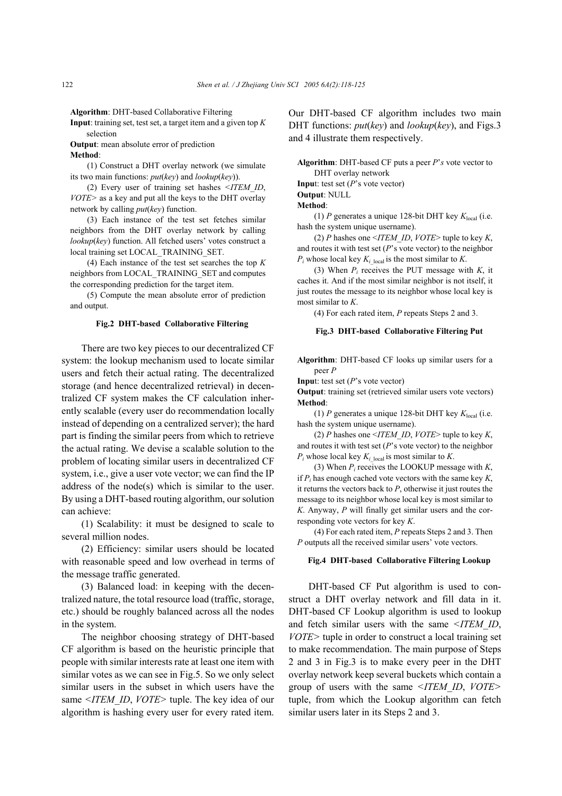**Algorithm**: DHT-based Collaborative Filtering

**Input**: training set, test set, a target item and a given top *K* selection

**Output**: mean absolute error of prediction **Method**:

(1) Construct a DHT overlay network (we simulate its two main functions: *put*(*key*) and *lookup*(*key*)).

(2) Every user of training set hashes *<ITEM\_ID*, *VOTE>* as a key and put all the keys to the DHT overlay network by calling *put*(*key*) function.

(3) Each instance of the test set fetches similar neighbors from the DHT overlay network by calling *lookup*(*key*) function. All fetched users' votes construct a local training set LOCAL\_TRAINING\_SET.

(4) Each instance of the test set searches the top *K* neighbors from LOCAL\_TRAINING\_SET and computes the corresponding prediction for the target item.

(5) Compute the mean absolute error of prediction and output.

#### **Fig.2 DHT-based Collaborative Filtering**

There are two key pieces to our decentralized CF system: the lookup mechanism used to locate similar users and fetch their actual rating. The decentralized storage (and hence decentralized retrieval) in decentralized CF system makes the CF calculation inherently scalable (every user do recommendation locally instead of depending on a centralized server); the hard part is finding the similar peers from which to retrieve the actual rating. We devise a scalable solution to the problem of locating similar users in decentralized CF system, i.e., give a user vote vector; we can find the IP address of the node(s) which is similar to the user. By using a DHT-based routing algorithm, our solution can achieve:

(1) Scalability: it must be designed to scale to several million nodes.

(2) Efficiency: similar users should be located with reasonable speed and low overhead in terms of the message traffic generated.

(3) Balanced load: in keeping with the decentralized nature, the total resource load (traffic, storage, etc.) should be roughly balanced across all the nodes in the system.

The neighbor choosing strategy of DHT-based CF algorithm is based on the heuristic principle that people with similar interests rate at least one item with similar votes as we can see in Fig.5. So we only select similar users in the subset in which users have the same *<ITEM\_ID*, *VOTE>* tuple. The key idea of our algorithm is hashing every user for every rated item.

Our DHT-based CF algorithm includes two main DHT functions: *put*(*key*) and *lookup*(*key*), and Figs.3 and 4 illustrate them respectively.

**Algorithm**: DHT-based CF puts a peer *P*'*s* vote vector to DHT overlay network

**Inpu**t: test set (*P*'s vote vector)

# **Output**: NULL

**Method**:

(1) *P* generates a unique 128-bit DHT key  $K_{local}$  (i.e. hash the system unique username).

(2) *P* hashes one <*ITEM\_ID*, *VOTE*> tuple to key *K*, and routes it with test set (*P*'s vote vector) to the neighbor  $P_i$  whose local key  $K_i$  local is the most similar to  $K$ .

(3) When  $P_i$  receives the PUT message with  $K$ , it caches it. And if the most similar neighbor is not itself, it just routes the message to its neighbor whose local key is most similar to *K*.

(4) For each rated item, *P* repeats Steps 2 and 3.

### **Fig.3 DHT-based Collaborative Filtering Put**

**Algorithm**: DHT-based CF looks up similar users for a peer *P*

**Inpu**t: test set (*P*'s vote vector)

**Output**: training set (retrieved similar users vote vectors) **Method**:

(1) *P* generates a unique 128-bit DHT key  $K_{local}$  (i.e. hash the system unique username).

(2) *P* hashes one  $\leq ITEM$  *ID*, *VOTE* $>$  tuple to key *K*, and routes it with test set (*P*'s vote vector) to the neighbor  $P_i$  whose local key  $K_i$ <sub>local</sub> is most similar to  $K$ .

(3) When  $P_i$  receives the LOOKUP message with  $K$ , if *Pi* has enough cached vote vectors with the same key *K*, it returns the vectors back to *P*, otherwise it just routes the message to its neighbor whose local key is most similar to *K*. Anyway, *P* will finally get similar users and the corresponding vote vectors for key *K*.

(4) For each rated item, *P* repeats Steps 2 and 3. Then *P* outputs all the received similar users' vote vectors.

#### **Fig.4 DHT-based Collaborative Filtering Lookup**

DHT-based CF Put algorithm is used to construct a DHT overlay network and fill data in it. DHT-based CF Lookup algorithm is used to lookup and fetch similar users with the same *<ITEM\_ID*, *VOTE>* tuple in order to construct a local training set to make recommendation. The main purpose of Steps 2 and 3 in Fig.3 is to make every peer in the DHT overlay network keep several buckets which contain a group of users with the same *<ITEM\_ID*, *VOTE>* tuple, from which the Lookup algorithm can fetch similar users later in its Steps 2 and 3.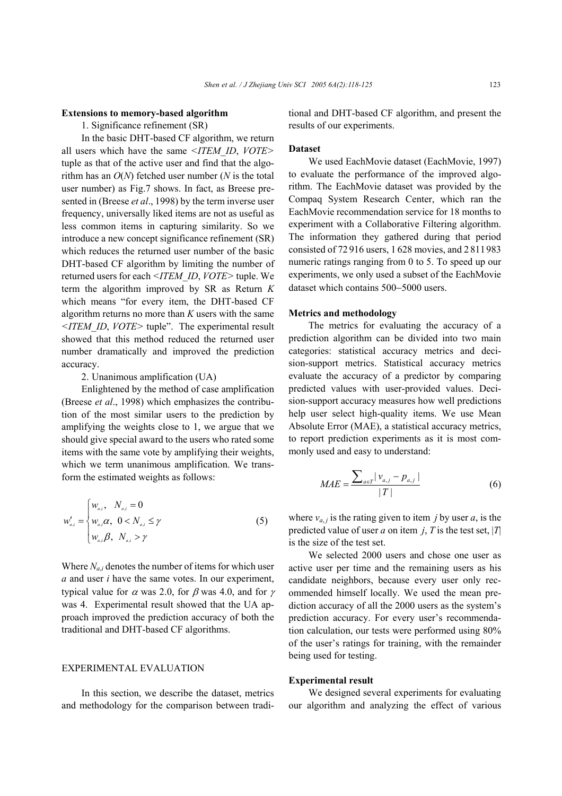#### **Extensions to memory-based algorithm**

1. Significance refinement (SR)

In the basic DHT-based CF algorithm, we return all users which have the same *<ITEM\_ID*, *VOTE>* tuple as that of the active user and find that the algorithm has an *O*(*N*) fetched user number (*N* is the total user number) as Fig.7 shows. In fact, as Breese presented in (Breese *et al*., 1998) by the term inverse user frequency, universally liked items are not as useful as less common items in capturing similarity. So we introduce a new concept significance refinement (SR) which reduces the returned user number of the basic DHT-based CF algorithm by limiting the number of returned users for each *<ITEM\_ID*, *VOTE>* tuple. We term the algorithm improved by SR as Return *K* which means "for every item, the DHT-based CF algorithm returns no more than *K* users with the same *<ITEM\_ID*, *VOTE>* tuple". The experimental result showed that this method reduced the returned user number dramatically and improved the prediction accuracy.

## 2. Unanimous amplification (UA)

Enlightened by the method of case amplification (Breese *et al*., 1998) which emphasizes the contribution of the most similar users to the prediction by amplifying the weights close to 1, we argue that we should give special award to the users who rated some items with the same vote by amplifying their weights, which we term unanimous amplification. We transform the estimated weights as follows:

$$
w'_{a,i} = \begin{cases} w_{a,i}, & N_{a,i} = 0\\ w_{a,i}\alpha, & 0 < N_{a,i} \le \gamma\\ w_{a,i}\beta, & N_{a,i} > \gamma \end{cases} \tag{5}
$$

Where  $N_{a,i}$  denotes the number of items for which user *a* and user *i* have the same votes. In our experiment, typical value for  $\alpha$  was 2.0, for  $\beta$  was 4.0, and for  $\gamma$ was 4. Experimental result showed that the UA approach improved the prediction accuracy of both the traditional and DHT-based CF algorithms.

# EXPERIMENTAL EVALUATION

In this section, we describe the dataset, metrics and methodology for the comparison between traditional and DHT-based CF algorithm, and present the results of our experiments.

# **Dataset**

We used EachMovie dataset (EachMovie, 1997) to evaluate the performance of the improved algorithm. The EachMovie dataset was provided by the Compaq System Research Center, which ran the EachMovie recommendation service for 18 months to experiment with a Collaborative Filtering algorithm. The information they gathered during that period consisted of 72 916 users, 1 628 movies, and 2 811983 numeric ratings ranging from 0 to 5. To speed up our experiments, we only used a subset of the EachMovie dataset which contains 500−5000 users.

#### **Metrics and methodology**

The metrics for evaluating the accuracy of a prediction algorithm can be divided into two main categories: statistical accuracy metrics and decision-support metrics. Statistical accuracy metrics evaluate the accuracy of a predictor by comparing predicted values with user-provided values. Decision-support accuracy measures how well predictions help user select high-quality items. We use Mean Absolute Error (MAE), a statistical accuracy metrics, to report prediction experiments as it is most commonly used and easy to understand:

$$
MAE = \frac{\sum_{a \in T} |v_{a,j} - p_{a,j}|}{|T|} \tag{6}
$$

where  $v_{a,j}$  is the rating given to item *j* by user *a*, is the predicted value of user *a* on item *j*, *T* is the test set, |*T*| is the size of the test set.

We selected 2000 users and chose one user as active user per time and the remaining users as his candidate neighbors, because every user only recommended himself locally. We used the mean prediction accuracy of all the 2000 users as the system's prediction accuracy. For every user's recommendation calculation, our tests were performed using 80% of the user's ratings for training, with the remainder being used for testing.

#### **Experimental result**

We designed several experiments for evaluating our algorithm and analyzing the effect of various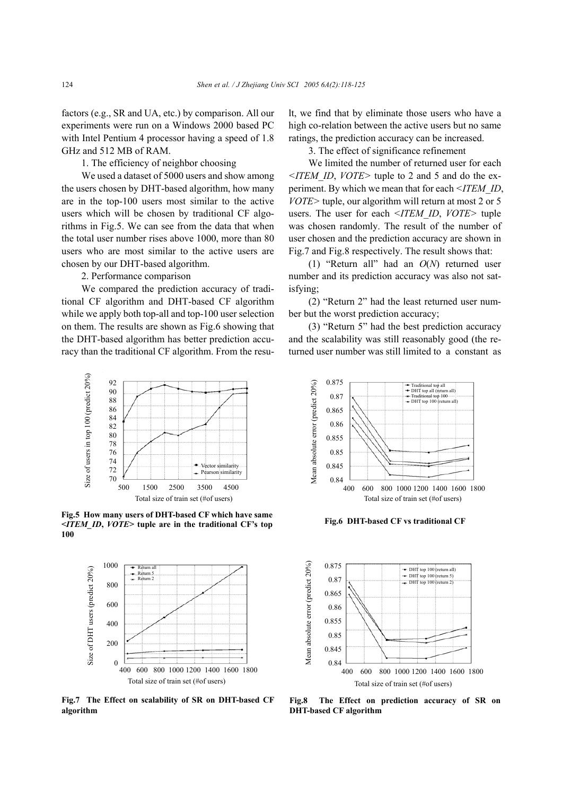factors (e.g., SR and UA, etc.) by comparison. All our experiments were run on a Windows 2000 based PC with Intel Pentium 4 processor having a speed of 1.8 GHz and 512 MB of RAM.

1. The efficiency of neighbor choosing

We used a dataset of 5000 users and show among the users chosen by DHT-based algorithm, how many are in the top-100 users most similar to the active users which will be chosen by traditional CF algorithms in Fig.5. We can see from the data that when the total user number rises above 1000, more than 80 users who are most similar to the active users are chosen by our DHT-based algorithm.

2. Performance comparison

We compared the prediction accuracy of traditional CF algorithm and DHT-based CF algorithm while we apply both top-all and top-100 user selection on them. The results are shown as Fig.6 showing that the DHT-based algorithm has better prediction accuracy than the traditional CF algorithm. From the resu-

Size of users in top 100 (predict 20%) 92 90 88 86 84 82 80 78 76 74 milarit 72 Pearson similarity 70 500 1500 2500 3500 4500 Total size of train set (#of users)

**Fig.5 How many users of DHT-based CF which have same** *<ITEM\_ID***,** *VOTE>* **tuple are in the traditional CF's top 100**



**Fig.7 The Effect on scalability of SR on DHT-based CF** algorithm

lt, we find that by eliminate those users who have a high co-relation between the active users but no same ratings, the prediction accuracy can be increased.

3. The effect of significance refinement

We limited the number of returned user for each *<ITEM\_ID*, *VOTE>* tuple to 2 and 5 and do the experiment. By which we mean that for each *<ITEM\_ID*, *VOTE>* tuple, our algorithm will return at most 2 or 5 users. The user for each *<ITEM\_ID*, *VOTE>* tuple was chosen randomly. The result of the number of user chosen and the prediction accuracy are shown in Fig.7 and Fig.8 respectively. The result shows that:

(1) "Return all" had an *O*(*N*) returned user number and its prediction accuracy was also not satisfying;

(2) "Return 2" had the least returned user number but the worst prediction accuracy;

(3) "Return 5" had the best prediction accuracy and the scalability was still reasonably good (the returned user number was still limited to a constant as



**Fig.6 DHT-based CF vs traditional CF**



**Fig.8 The Effect on prediction accuracy of SR on DHT-based CF algorithm**